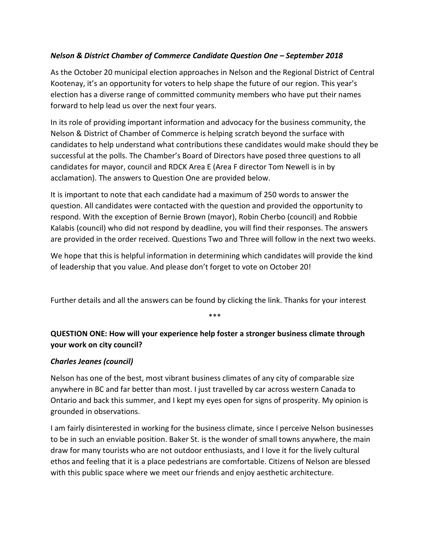## *Nelson & District Chamber of Commerce Candidate Question One – September 2018*

As the October 20 municipal election approaches in Nelson and the Regional District of Central Kootenay, it's an opportunity for voters to help shape the future of our region. This year's election has a diverse range of committed community members who have put their names forward to help lead us over the next four years.

In its role of providing important information and advocacy for the business community, the Nelson & District of Chamber of Commerce is helping scratch beyond the surface with candidates to help understand what contributions these candidates would make should they be successful at the polls. The Chamber's Board of Directors have posed three questions to all candidates for mayor, council and RDCK Area E (Area F director Tom Newell is in by acclamation). The answers to Question One are provided below.

It is important to note that each candidate had a maximum of 250 words to answer the question. All candidates were contacted with the question and provided the opportunity to respond. With the exception of Bernie Brown (mayor), Robin Cherbo (council) and Robbie Kalabis (council) who did not respond by deadline, you will find their responses. The answers are provided in the order received. Questions Two and Three will follow in the next two weeks.

We hope that this is helpful information in determining which candidates will provide the kind of leadership that you value. And please don't forget to vote on October 20!

Further details and all the answers can be found by clicking the link. Thanks for your interest

\*\*\*

# **QUESTION ONE: How will your experience help foster a stronger business climate through your work on city council?**

### *Charles Jeanes (council)*

Nelson has one of the best, most vibrant business climates of any city of comparable size anywhere in BC and far better than most. I just travelled by car across western Canada to Ontario and back this summer, and I kept my eyes open for signs of prosperity. My opinion is grounded in observations.

I am fairly disinterested in working for the business climate, since I perceive Nelson businesses to be in such an enviable position. Baker St. is the wonder of small towns anywhere, the main draw for many tourists who are not outdoor enthusiasts, and I love it for the lively cultural ethos and feeling that it is a place pedestrians are comfortable. Citizens of Nelson are blessed with this public space where we meet our friends and enjoy aesthetic architecture.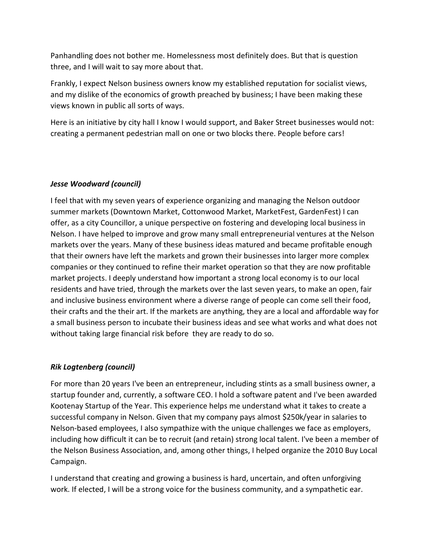Panhandling does not bother me. Homelessness most definitely does. But that is question three, and I will wait to say more about that.

Frankly, I expect Nelson business owners know my established reputation for socialist views, and my dislike of the economics of growth preached by business; I have been making these views known in public all sorts of ways.

Here is an initiative by city hall I know I would support, and Baker Street businesses would not: creating a permanent pedestrian mall on one or two blocks there. People before cars!

### *Jesse Woodward (council)*

I feel that with my seven years of experience organizing and managing the Nelson outdoor summer markets (Downtown Market, Cottonwood Market, MarketFest, GardenFest) I can offer, as a city Councillor, a unique perspective on fostering and developing local business in Nelson. I have helped to improve and grow many small entrepreneurial ventures at the Nelson markets over the years. Many of these business ideas matured and became profitable enough that their owners have left the markets and grown their businesses into larger more complex companies or they continued to refine their market operation so that they are now profitable market projects. I deeply understand how important a strong local economy is to our local residents and have tried, through the markets over the last seven years, to make an open, fair and inclusive business environment where a diverse range of people can come sell their food, their crafts and the their art. If the markets are anything, they are a local and affordable way for a small business person to incubate their business ideas and see what works and what does not without taking large financial risk before they are ready to do so.

### *Rik Logtenberg (council)*

For more than 20 years I've been an entrepreneur, including stints as a small business owner, a startup founder and, currently, a software CEO. I hold a software patent and I've been awarded Kootenay Startup of the Year. This experience helps me understand what it takes to create a successful company in Nelson. Given that my company pays almost \$250k/year in salaries to Nelson-based employees, I also sympathize with the unique challenges we face as employers, including how difficult it can be to recruit (and retain) strong local talent. I've been a member of the Nelson Business Association, and, among other things, I helped organize the 2010 Buy Local Campaign.

I understand that creating and growing a business is hard, uncertain, and often unforgiving work. If elected, I will be a strong voice for the business community, and a sympathetic ear.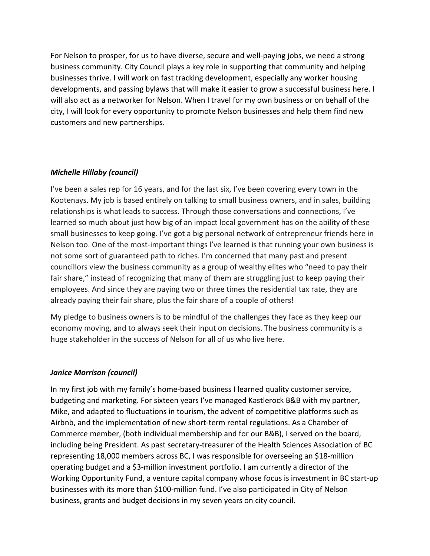For Nelson to prosper, for us to have diverse, secure and well-paying jobs, we need a strong business community. City Council plays a key role in supporting that community and helping businesses thrive. I will work on fast tracking development, especially any worker housing developments, and passing bylaws that will make it easier to grow a successful business here. I will also act as a networker for Nelson. When I travel for my own business or on behalf of the city, I will look for every opportunity to promote Nelson businesses and help them find new customers and new partnerships.

#### *Michelle Hillaby (council)*

I've been a sales rep for 16 years, and for the last six, I've been covering every town in the Kootenays. My job is based entirely on talking to small business owners, and in sales, building relationships is what leads to success. Through those conversations and connections, I've learned so much about just how big of an impact local government has on the ability of these small businesses to keep going. I've got a big personal network of entrepreneur friends here in Nelson too. One of the most-important things l've learned is that running your own business is not some sort of guaranteed path to riches. I'm concerned that many past and present councillors view the business community as a group of wealthy elites who "need to pay their fair share," instead of recognizing that many of them are struggling just to keep paying their employees. And since they are paying two or three times the residential tax rate, they are already paying their fair share, plus the fair share of a couple of others!

My pledge to business owners is to be mindful of the challenges they face as they keep our economy moving, and to always seek their input on decisions. The business community is a huge stakeholder in the success of Nelson for all of us who live here.

#### *Janice Morrison (council)*

In my first job with my family's home-based business I learned quality customer service, budgeting and marketing. For sixteen years I've managed Kastlerock B&B with my partner, Mike, and adapted to fluctuations in tourism, the advent of competitive platforms such as Airbnb, and the implementation of new short-term rental regulations. As a Chamber of Commerce member, (both individual membership and for our B&B), I served on the board, including being President. As past secretary-treasurer of the Health Sciences Association of BC representing 18,000 members across BC, I was responsible for overseeing an \$18-million operating budget and a \$3-million investment portfolio. I am currently a director of the Working Opportunity Fund, a venture capital company whose focus is investment in BC start-up businesses with its more than \$100-million fund. I've also participated in City of Nelson business, grants and budget decisions in my seven years on city council.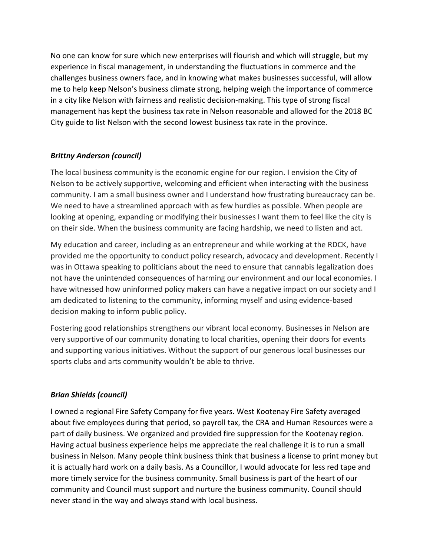No one can know for sure which new enterprises will flourish and which will struggle, but my experience in fiscal management, in understanding the fluctuations in commerce and the challenges business owners face, and in knowing what makes businesses successful, will allow me to help keep Nelson's business climate strong, helping weigh the importance of commerce in a city like Nelson with fairness and realistic decision-making. This type of strong fiscal management has kept the business tax rate in Nelson reasonable and allowed for the 2018 BC City guide to list Nelson with the second lowest business tax rate in the province.

### *Brittny Anderson (council)*

The local business community is the economic engine for our region. I envision the City of Nelson to be actively supportive, welcoming and efficient when interacting with the business community. I am a small business owner and I understand how frustrating bureaucracy can be. We need to have a streamlined approach with as few hurdles as possible. When people are looking at opening, expanding or modifying their businesses I want them to feel like the city is on their side. When the business community are facing hardship, we need to listen and act.

My education and career, including as an entrepreneur and while working at the RDCK, have provided me the opportunity to conduct policy research, advocacy and development. Recently I was in Ottawa speaking to politicians about the need to ensure that cannabis legalization does not have the unintended consequences of harming our environment and our local economies. I have witnessed how uninformed policy makers can have a negative impact on our society and I am dedicated to listening to the community, informing myself and using evidence-based decision making to inform public policy.

Fostering good relationships strengthens our vibrant local economy. Businesses in Nelson are very supportive of our community donating to local charities, opening their doors for events and supporting various initiatives. Without the support of our generous local businesses our sports clubs and arts community wouldn't be able to thrive.

# *Brian Shields (council)*

I owned a regional Fire Safety Company for five years. West Kootenay Fire Safety averaged about five employees during that period, so payroll tax, the CRA and Human Resources were a part of daily business. We organized and provided fire suppression for the Kootenay region. Having actual business experience helps me appreciate the real challenge it is to run a small business in Nelson. Many people think business think that business a license to print money but it is actually hard work on a daily basis. As a Councillor, I would advocate for less red tape and more timely service for the business community. Small business is part of the heart of our community and Council must support and nurture the business community. Council should never stand in the way and always stand with local business.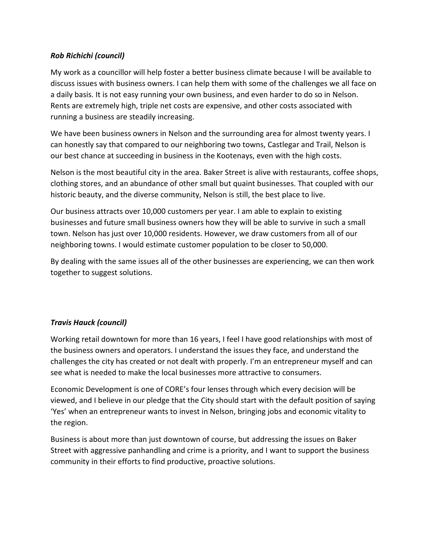### *Rob Richichi (council)*

My work as a councillor will help foster a better business climate because I will be available to discuss issues with business owners. I can help them with some of the challenges we all face on a daily basis. It is not easy running your own business, and even harder to do so in Nelson. Rents are extremely high, triple net costs are expensive, and other costs associated with running a business are steadily increasing.

We have been business owners in Nelson and the surrounding area for almost twenty years. I can honestly say that compared to our neighboring two towns, Castlegar and Trail, Nelson is our best chance at succeeding in business in the Kootenays, even with the high costs.

Nelson is the most beautiful city in the area. Baker Street is alive with restaurants, coffee shops, clothing stores, and an abundance of other small but quaint businesses. That coupled with our historic beauty, and the diverse community, Nelson is still, the best place to live.

Our business attracts over 10,000 customers per year. I am able to explain to existing businesses and future small business owners how they will be able to survive in such a small town. Nelson has just over 10,000 residents. However, we draw customers from all of our neighboring towns. I would estimate customer population to be closer to 50,000.

By dealing with the same issues all of the other businesses are experiencing, we can then work together to suggest solutions.

### *Travis Hauck (council)*

Working retail downtown for more than 16 years, I feel I have good relationships with most of the business owners and operators. I understand the issues they face, and understand the challenges the city has created or not dealt with properly. I'm an entrepreneur myself and can see what is needed to make the local businesses more attractive to consumers.

Economic Development is one of CORE's four lenses through which every decision will be viewed, and I believe in our pledge that the City should start with the default position of saying 'Yes' when an entrepreneur wants to invest in Nelson, bringing jobs and economic vitality to the region.

Business is about more than just downtown of course, but addressing the issues on Baker Street with aggressive panhandling and crime is a priority, and I want to support the business community in their efforts to find productive, proactive solutions.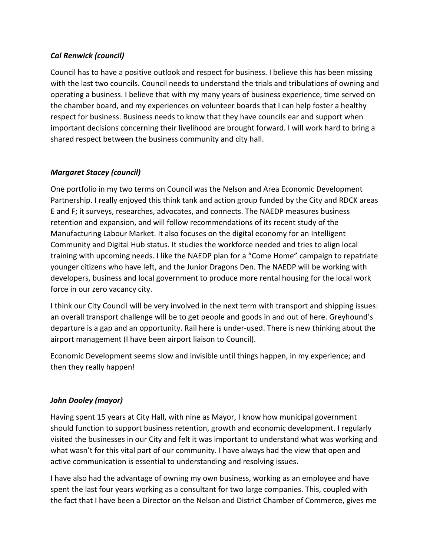### *Cal Renwick (council)*

Council has to have a positive outlook and respect for business. I believe this has been missing with the last two councils. Council needs to understand the trials and tribulations of owning and operating a business. I believe that with my many years of business experience, time served on the chamber board, and my experiences on volunteer boards that I can help foster a healthy respect for business. Business needs to know that they have councils ear and support when important decisions concerning their livelihood are brought forward. I will work hard to bring a shared respect between the business community and city hall.

## *Margaret Stacey (council)*

One portfolio in my two terms on Council was the Nelson and Area Economic Development Partnership. I really enjoyed this think tank and action group funded by the City and RDCK areas E and F; it surveys, researches, advocates, and connects. The NAEDP measures business retention and expansion, and will follow recommendations of its recent study of the Manufacturing Labour Market. It also focuses on the digital economy for an Intelligent Community and Digital Hub status. It studies the workforce needed and tries to align local training with upcoming needs. I like the NAEDP plan for a "Come Home" campaign to repatriate younger citizens who have left, and the Junior Dragons Den. The NAEDP will be working with developers, business and local government to produce more rental housing for the local work force in our zero vacancy city.

I think our City Council will be very involved in the next term with transport and shipping issues: an overall transport challenge will be to get people and goods in and out of here. Greyhound's departure is a gap and an opportunity. Rail here is under-used. There is new thinking about the airport management (I have been airport liaison to Council).

Economic Development seems slow and invisible until things happen, in my experience; and then they really happen!

# *John Dooley (mayor)*

Having spent 15 years at City Hall, with nine as Mayor, I know how municipal government should function to support business retention, growth and economic development. I regularly visited the businesses in our City and felt it was important to understand what was working and what wasn't for this vital part of our community. I have always had the view that open and active communication is essential to understanding and resolving issues.

I have also had the advantage of owning my own business, working as an employee and have spent the last four years working as a consultant for two large companies. This, coupled with the fact that I have been a Director on the Nelson and District Chamber of Commerce, gives me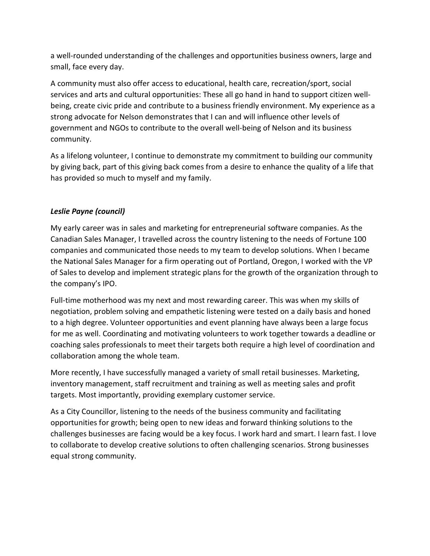a well-rounded understanding of the challenges and opportunities business owners, large and small, face every day.

A community must also offer access to educational, health care, recreation/sport, social services and arts and cultural opportunities: These all go hand in hand to support citizen wellbeing, create civic pride and contribute to a business friendly environment. My experience as a strong advocate for Nelson demonstrates that I can and will influence other levels of government and NGOs to contribute to the overall well-being of Nelson and its business community.

As a lifelong volunteer, I continue to demonstrate my commitment to building our community by giving back, part of this giving back comes from a desire to enhance the quality of a life that has provided so much to myself and my family.

## *Leslie Payne (council)*

My early career was in sales and marketing for entrepreneurial software companies. As the Canadian Sales Manager, I travelled across the country listening to the needs of Fortune 100 companies and communicated those needs to my team to develop solutions. When I became the National Sales Manager for a firm operating out of Portland, Oregon, I worked with the VP of Sales to develop and implement strategic plans for the growth of the organization through to the company's IPO.

Full-time motherhood was my next and most rewarding career. This was when my skills of negotiation, problem solving and empathetic listening were tested on a daily basis and honed to a high degree. Volunteer opportunities and event planning have always been a large focus for me as well. Coordinating and motivating volunteers to work together towards a deadline or coaching sales professionals to meet their targets both require a high level of coordination and collaboration among the whole team.

More recently, I have successfully managed a variety of small retail businesses. Marketing, inventory management, staff recruitment and training as well as meeting sales and profit targets. Most importantly, providing exemplary customer service.

As a City Councillor, listening to the needs of the business community and facilitating opportunities for growth; being open to new ideas and forward thinking solutions to the challenges businesses are facing would be a key focus. I work hard and smart. I learn fast. I love to collaborate to develop creative solutions to often challenging scenarios. Strong businesses equal strong community.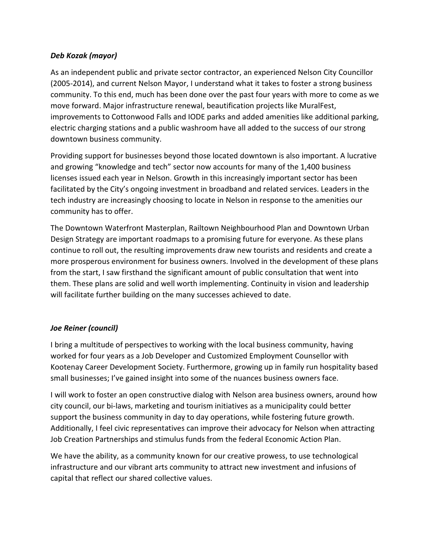### *Deb Kozak (mayor)*

As an independent public and private sector contractor, an experienced Nelson City Councillor (2005-2014), and current Nelson Mayor, I understand what it takes to foster a strong business community. To this end, much has been done over the past four years with more to come as we move forward. Major infrastructure renewal, beautification projects like MuralFest, improvements to Cottonwood Falls and IODE parks and added amenities like additional parking, electric charging stations and a public washroom have all added to the success of our strong downtown business community.

Providing support for businesses beyond those located downtown is also important. A lucrative and growing "knowledge and tech" sector now accounts for many of the 1,400 business licenses issued each year in Nelson. Growth in this increasingly important sector has been facilitated by the City's ongoing investment in broadband and related services. Leaders in the tech industry are increasingly choosing to locate in Nelson in response to the amenities our community has to offer.

The Downtown Waterfront Masterplan, Railtown Neighbourhood Plan and Downtown Urban Design Strategy are important roadmaps to a promising future for everyone. As these plans continue to roll out, the resulting improvements draw new tourists and residents and create a more prosperous environment for business owners. Involved in the development of these plans from the start, I saw firsthand the significant amount of public consultation that went into them. These plans are solid and well worth implementing. Continuity in vision and leadership will facilitate further building on the many successes achieved to date.

### *Joe Reiner (council)*

I bring a multitude of perspectives to working with the local business community, having worked for four years as a Job Developer and Customized Employment Counsellor with Kootenay Career Development Society. Furthermore, growing up in family run hospitality based small businesses; I've gained insight into some of the nuances business owners face.

I will work to foster an open constructive dialog with Nelson area business owners, around how city council, our bi-laws, marketing and tourism initiatives as a municipality could better support the business community in day to day operations, while fostering future growth. Additionally, I feel civic representatives can improve their advocacy for Nelson when attracting Job Creation Partnerships and stimulus funds from the federal Economic Action Plan.

We have the ability, as a community known for our creative prowess, to use technological infrastructure and our vibrant arts community to attract new investment and infusions of capital that reflect our shared collective values.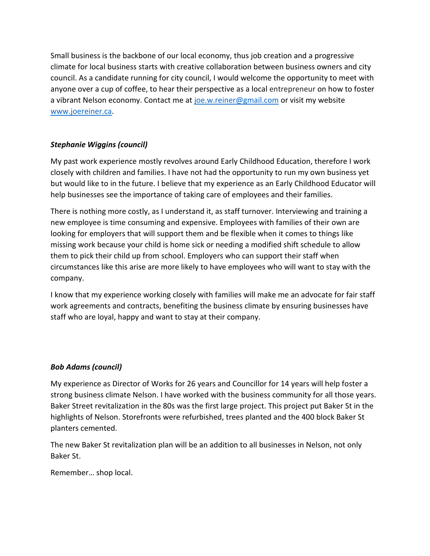Small business is the backbone of our local economy, thus job creation and a progressive climate for local business starts with creative collaboration between business owners and city council. As a candidate running for city council, I would welcome the opportunity to meet with anyone over a cup of coffee, to hear their perspective as a local entrepreneur on how to foster a vibrant Nelson economy. Contact me at joe.w.reiner@gmail.com or visit my website www.joereiner.ca.

# *Stephanie Wiggins (council)*

My past work experience mostly revolves around Early Childhood Education, therefore I work closely with children and families. I have not had the opportunity to run my own business yet but would like to in the future. I believe that my experience as an Early Childhood Educator will help businesses see the importance of taking care of employees and their families.

There is nothing more costly, as I understand it, as staff turnover. Interviewing and training a new employee is time consuming and expensive. Employees with families of their own are looking for employers that will support them and be flexible when it comes to things like missing work because your child is home sick or needing a modified shift schedule to allow them to pick their child up from school. Employers who can support their staff when circumstances like this arise are more likely to have employees who will want to stay with the company.

I know that my experience working closely with families will make me an advocate for fair staff work agreements and contracts, benefiting the business climate by ensuring businesses have staff who are loyal, happy and want to stay at their company.

### *Bob Adams (council)*

My experience as Director of Works for 26 years and Councillor for 14 years will help foster a strong business climate Nelson. I have worked with the business community for all those years. Baker Street revitalization in the 80s was the first large project. This project put Baker St in the highlights of Nelson. Storefronts were refurbished, trees planted and the 400 block Baker St planters cemented.

The new Baker St revitalization plan will be an addition to all businesses in Nelson, not only Baker St.

Remember… shop local.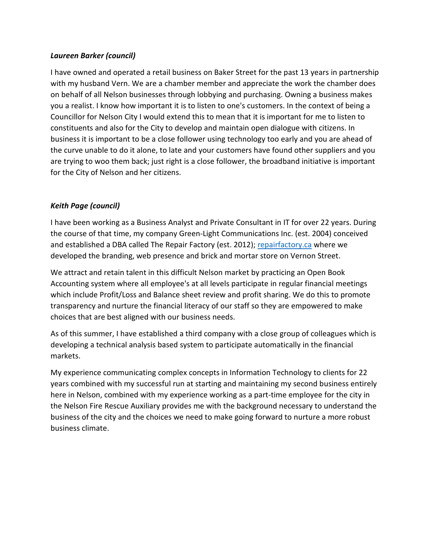#### *Laureen Barker (council)*

I have owned and operated a retail business on Baker Street for the past 13 years in partnership with my husband Vern. We are a chamber member and appreciate the work the chamber does on behalf of all Nelson businesses through lobbying and purchasing. Owning a business makes you a realist. I know how important it is to listen to one's customers. In the context of being a Councillor for Nelson City I would extend this to mean that it is important for me to listen to constituents and also for the City to develop and maintain open dialogue with citizens. In business it is important to be a close follower using technology too early and you are ahead of the curve unable to do it alone, to late and your customers have found other suppliers and you are trying to woo them back; just right is a close follower, the broadband initiative is important for the City of Nelson and her citizens.

## *Keith Page (council)*

I have been working as a Business Analyst and Private Consultant in IT for over 22 years. During the course of that time, my company Green-Light Communications Inc. (est. 2004) conceived and established a DBA called The Repair Factory (est. 2012); repairfactory.ca where we developed the branding, web presence and brick and mortar store on Vernon Street.

We attract and retain talent in this difficult Nelson market by practicing an Open Book Accounting system where all employee's at all levels participate in regular financial meetings which include Profit/Loss and Balance sheet review and profit sharing. We do this to promote transparency and nurture the financial literacy of our staff so they are empowered to make choices that are best aligned with our business needs.

As of this summer, I have established a third company with a close group of colleagues which is developing a technical analysis based system to participate automatically in the financial markets.

My experience communicating complex concepts in Information Technology to clients for 22 years combined with my successful run at starting and maintaining my second business entirely here in Nelson, combined with my experience working as a part-time employee for the city in the Nelson Fire Rescue Auxiliary provides me with the background necessary to understand the business of the city and the choices we need to make going forward to nurture a more robust business climate.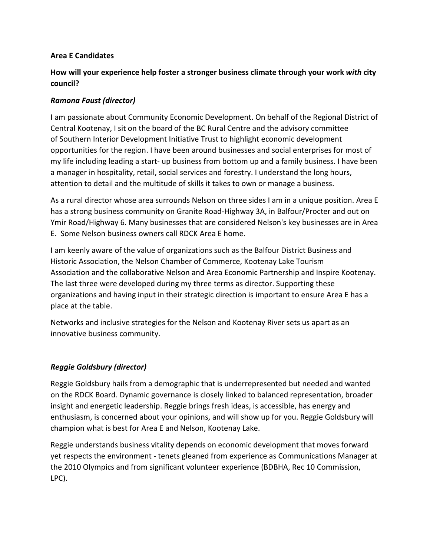### **Area E Candidates**

## **How will your experience help foster a stronger business climate through your work** *with* **city council?**

## *Ramona Faust (director)*

I am passionate about Community Economic Development. On behalf of the Regional District of Central Kootenay, I sit on the board of the BC Rural Centre and the advisory committee of Southern Interior Development Initiative Trust to highlight economic development opportunities for the region. I have been around businesses and social enterprises for most of my life including leading a start- up business from bottom up and a family business. I have been a manager in hospitality, retail, social services and forestry. I understand the long hours, attention to detail and the multitude of skills it takes to own or manage a business.

As a rural director whose area surrounds Nelson on three sides I am in a unique position. Area E has a strong business community on Granite Road-Highway 3A, in Balfour/Procter and out on Ymir Road/Highway 6. Many businesses that are considered Nelson's key businesses are in Area E. Some Nelson business owners call RDCK Area E home.

I am keenly aware of the value of organizations such as the Balfour District Business and Historic Association, the Nelson Chamber of Commerce, Kootenay Lake Tourism Association and the collaborative Nelson and Area Economic Partnership and Inspire Kootenay. The last three were developed during my three terms as director. Supporting these organizations and having input in their strategic direction is important to ensure Area E has a place at the table.

Networks and inclusive strategies for the Nelson and Kootenay River sets us apart as an innovative business community.

### *Reggie Goldsbury (director)*

Reggie Goldsbury hails from a demographic that is underrepresented but needed and wanted on the RDCK Board. Dynamic governance is closely linked to balanced representation, broader insight and energetic leadership. Reggie brings fresh ideas, is accessible, has energy and enthusiasm, is concerned about your opinions, and will show up for you. Reggie Goldsbury will champion what is best for Area E and Nelson, Kootenay Lake.

Reggie understands business vitality depends on economic development that moves forward yet respects the environment - tenets gleaned from experience as Communications Manager at the 2010 Olympics and from significant volunteer experience (BDBHA, Rec 10 Commission, LPC).